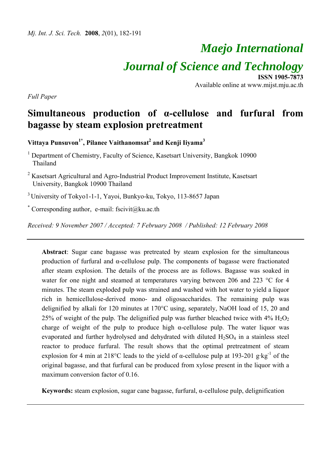# *Maejo International Journal of Science and Technology* **ISSN 1905-7873**

Available online at www.mijst.mju.ac.th

*Full Paper* 

## **Simultaneous production of α-cellulose and furfural from bagasse by steam explosion pretreatment**

 $V$ ittaya Punsuvon $^{1*}$ , Pilanee Vaithanomsat $^{2}$  and Kenji Iiyama $^{3}$ 

<sup>1</sup> Department of Chemistry, Faculty of Science, Kasetsart University, Bangkok 10900 Thailand

 $2$  Kasetsart Agricultural and Agro-Industrial Product Improvement Institute, Kasetsart University, Bangkok 10900 Thailand

3 University of Tokyo1-1-1, Yayoi, Bunkyo-ku, Tokyo, 113-8657 Japan

\* Corresponding author, e-mail: fscivit@ku.ac.th

*Received: 9 November 2007 / Accepted: 7 February 2008 / Published: 12 February 2008* 

**Abstract**: Sugar cane bagasse was pretreated by steam explosion for the simultaneous production of furfural and α-cellulose pulp. The components of bagasse were fractionated after steam explosion. The details of the process are as follows. Bagasse was soaked in water for one night and steamed at temperatures varying between 206 and 223 °C for 4 minutes. The steam exploded pulp was strained and washed with hot water to yield a liquor rich in hemicellulose-derived mono- and oligosaccharides. The remaining pulp was delignified by alkali for 120 minutes at 170°C using, separately, NaOH load of 15, 20 and 25% of weight of the pulp. The delignified pulp was further bleached twice with  $4\%$  H<sub>2</sub>O<sub>2</sub> charge of weight of the pulp to produce high  $\alpha$ -cellulose pulp. The water liquor was evaporated and further hydrolysed and dehydrated with diluted  $H_2SO_4$  in a stainless steel reactor to produce furfural. The result shows that the optimal pretreatment of steam explosion for 4 min at 218°C leads to the yield of  $\alpha$ -cellulose pulp at 193-201 g·kg<sup>-1</sup> of the original bagasse, and that furfural can be produced from xylose present in the liquor with a maximum conversion factor of 0.16.

**Keywords:** steam explosion, sugar cane bagasse, furfural, α-cellulose pulp, delignification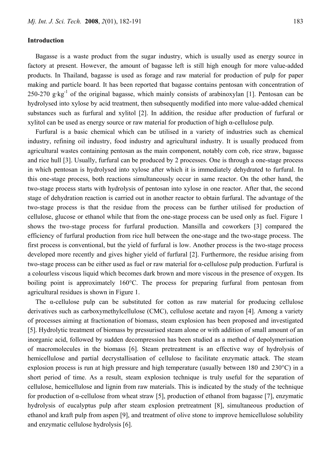#### **Introduction**

Bagasse is a waste product from the sugar industry, which is usually used as energy source in factory at present. However, the amount of bagasse left is still high enough for more value-added products. In Thailand, bagasse is used as forage and raw material for production of pulp for paper making and particle board. It has been reported that bagasse contains pentosan with concentration of 250-270 g·kg<sup>-1</sup> of the original bagasse, which mainly consists of arabinoxylan [1]. Pentosan can be hydrolysed into xylose by acid treatment, then subsequently modified into more value-added chemical substances such as furfural and xylitol [2]. In addition, the residue after production of furfural or xylitol can be used as energy source or raw material for production of high α-cellulose pulp.

Furfural is a basic chemical which can be utilised in a variety of industries such as chemical industry, refining oil industry, food industry and agricultural industry. It is usually produced from agricultural wastes containing pentosan as the main component, notably corn cob, rice straw, bagasse and rice hull [3]. Usually, furfural can be produced by 2 processes. One is through a one-stage process in which pentosan is hydrolysed into xylose after which it is immediately dehydrated to furfural. In this one-stage process, both reactions simultaneously occur in same reactor. On the other hand, the two-stage process starts with hydrolysis of pentosan into xylose in one reactor. After that, the second stage of dehydration reaction is carried out in another reactor to obtain furfural. The advantage of the two-stage process is that the residue from the process can be further utilised for production of cellulose, glucose or ethanol while that from the one-stage process can be used only as fuel. Figure 1 shows the two-stage process for furfural production. Mansilla and coworkers [3] compared the efficiency of furfural production from rice hull between the one-stage and the two-stage process. The first process is conventional, but the yield of furfural is low. Another process is the two-stage process developed more recently and gives higher yield of furfural [2]. Furthermore, the residue arising from two-stage process can be either used as fuel or raw material for α-cellulose pulp production. Furfural is a colourless viscous liquid which becomes dark brown and more viscous in the presence of oxygen. Its boiling point is approximately 160°C. The process for preparing furfural from pentosan from agricultural residues is shown in Figure 1.

The α-cellulose pulp can be substituted for cotton as raw material for producing cellulose derivatives such as carboxymethylcellulose (CMC), cellulose acetate and rayon [4]. Among a variety of processes aiming at fractionation of biomass, steam explosion has been proposed and investigated [5]. Hydrolytic treatment of biomass by pressurised steam alone or with addition of small amount of an inorganic acid, followed by sudden decompression has been studied as a method of depolymerisation of macromolecules in the biomass [6]. Steam pretreatment is an effective way of hydrolysis of hemicellulose and partial decrystallisation of cellulose to facilitate enzymatic attack. The steam explosion process is run at high pressure and high temperature (usually between 180 and 230°C) in a short period of time. As a result, steam explosion technique is truly useful for the separation of cellulose, hemicellulose and lignin from raw materials. This is indicated by the study of the technique for production of  $\alpha$ -cellulose from wheat straw [5], production of ethanol from bagasse [7], enzymatic hydrolysis of eucalyptus pulp after steam explosion pretreatment [8], simultaneous production of ethanol and kraft pulp from aspen [9], and treatment of olive stone to improve hemicellulose solubility and enzymatic cellulose hydrolysis [6].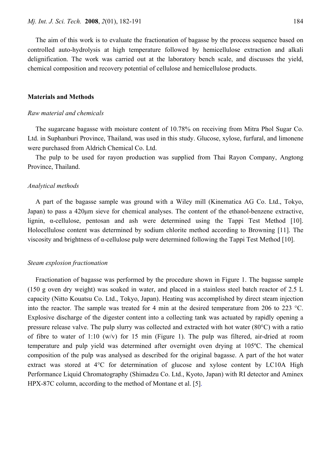The aim of this work is to evaluate the fractionation of bagasse by the process sequence based on controlled auto-hydrolysis at high temperature followed by hemicellulose extraction and alkali delignification. The work was carried out at the laboratory bench scale, and discusses the yield, chemical composition and recovery potential of cellulose and hemicellulose products.

#### **Materials and Methods**

#### *Raw material and chemicals*

The sugarcane bagasse with moisture content of 10.78% on receiving from Mitra Phol Sugar Co. Ltd. in Suphanburi Province, Thailand, was used in this study. Glucose, xylose, furfural, and limonene were purchased from Aldrich Chemical Co. Ltd.

The pulp to be used for rayon production was supplied from Thai Rayon Company, Angtong Province, Thailand.

#### *Analytical methods*

A part of the bagasse sample was ground with a Wiley mill (Kinematica AG Co. Ltd., Tokyo, Japan) to pass a 420μm sieve for chemical analyses. The content of the ethanol-benzene extractive, lignin, α-cellulose, pentosan and ash were determined using the Tappi Test Method [10]. Holocellulose content was determined by sodium chlorite method according to Browning [11]. The viscosity and brightness of α-cellulose pulp were determined following the Tappi Test Method [10].

#### *Steam explosion fractionation*

Fractionation of bagasse was performed by the procedure shown in Figure 1. The bagasse sample (150 g oven dry weight) was soaked in water, and placed in a stainless steel batch reactor of 2.5 L capacity (Nitto Kouatsu Co. Ltd., Tokyo, Japan). Heating was accomplished by direct steam injection into the reactor. The sample was treated for 4 min at the desired temperature from 206 to 223 °C. Explosive discharge of the digester content into a collecting tank was actuated by rapidly opening a pressure release valve. The pulp slurry was collected and extracted with hot water (80°C) with a ratio of fibre to water of 1:10 (w/v) for 15 min (Figure 1). The pulp was filtered, air-dried at room temperature and pulp yield was determined after overnight oven drying at 105ºC. The chemical composition of the pulp was analysed as described for the original bagasse. A part of the hot water extract was stored at 4°C for determination of glucose and xylose content by LC10A High Performance Liquid Chromatography (Shimadzu Co. Ltd., Kyoto, Japan) with RI detector and Aminex HPX-87C column, according to the method of Montane et al. [5].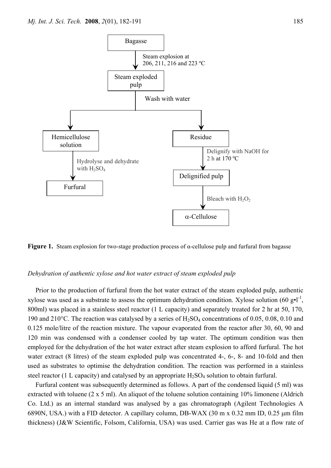

**Figure 1.** Steam explosion for two-stage production process of α-cellulose pulp and furfural from bagasse

#### *Dehydration of authentic xylose and hot water extract of steam exploded pulp*

Prior to the production of furfural from the hot water extract of the steam exploded pulp, authentic xylose was used as a substrate to assess the optimum dehydration condition. Xylose solution (60 g•l<sup>-1</sup>, 800ml) was placed in a stainless steel reactor (1 L capacity) and separately treated for 2 hr at 50, 170, 190 and 210°C. The reaction was catalysed by a series of  $H_2SO_4$  concentrations of 0.05, 0.08, 0.10 and 0.125 mole/litre of the reaction mixture. The vapour evaporated from the reactor after 30, 60, 90 and 120 min was condensed with a condenser cooled by tap water. The optimum condition was then employed for the dehydration of the hot water extract after steam explosion to afford furfural. The hot water extract (8 litres) of the steam exploded pulp was concentrated 4-, 6-, 8- and 10-fold and then used as substrates to optimise the dehydration condition. The reaction was performed in a stainless steel reactor (1 L capacity) and catalysed by an appropriate  $H_2SO_4$  solution to obtain furfural.

Furfural content was subsequently determined as follows. A part of the condensed liquid (5 ml) was extracted with toluene (2 x 5 ml). An aliquot of the toluene solution containing 10% limonene (Aldrich Co. Ltd.) as an internal standard was analysed by a gas chromatograph (Agilent Technologies A 6890N, USA.) with a FID detector. A capillary column, DB-WAX (30 m x 0.32 mm ID, 0.25 μm film thickness) (J&W Scientific, Folsom, California, USA) was used. Carrier gas was He at a flow rate of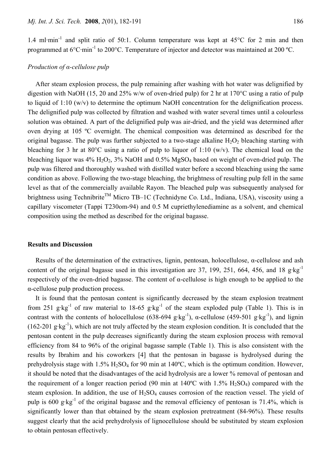1.4 ml·min<sup>-1</sup> and split ratio of 50:1. Column temperature was kept at  $45^{\circ}$ C for 2 min and then programmed at  $6^{\circ}$ C·min<sup>-1</sup> to 200 $^{\circ}$ C. Temperature of injector and detector was maintained at 200  $^{\circ}$ C.

#### *Production of α-cellulose pulp*

After steam explosion process, the pulp remaining after washing with hot water was delignified by digestion with NaOH (15, 20 and 25% w/w of oven-dried pulp) for 2 hr at 170°C using a ratio of pulp to liquid of 1:10 (w/v) to determine the optimum NaOH concentration for the delignification process. The delignified pulp was collected by filtration and washed with water several times until a colourless solution was obtained. A part of the delignified pulp was air-dried, and the yield was determined after oven drying at 105 ºC overnight. The chemical composition was determined as described for the original bagasse. The pulp was further subjected to a two-stage alkaline  $H_2O_2$  bleaching starting with bleaching for 3 hr at 80°C using a ratio of pulp to liquor of 1:10 (w/v). The chemical load on the bleaching liquor was  $4\%$  H<sub>2</sub>O<sub>2</sub>,  $3\%$  NaOH and 0.5% MgSO<sub>4</sub> based on weight of oven-dried pulp. The pulp was filtered and thoroughly washed with distilled water before a second bleaching using the same condition as above. Following the two-stage bleaching, the brightness of resulting pulp fell in the same level as that of the commercially available Rayon. The bleached pulp was subsequently analysed for brightness using Technibrite<sup>TM</sup> Micro TB–1C (Technidyne Co. Ltd., Indiana, USA), viscosity using a capillary viscometer (Tappi T230om-94) and 0.5 M cupriethylenediamine as a solvent, and chemical composition using the method as described for the original bagasse.

#### **Results and Discussion**

Results of the determination of the extractives, lignin, pentosan, holocellulose,  $\alpha$ -cellulose and ash content of the original bagasse used in this investigation are 37, 199, 251, 664, 456, and 18 g·kg<sup>-1</sup> respectively of the oven-dried bagasse. The content of α-cellulose is high enough to be applied to the α-cellulose pulp production process.

It is found that the pentosan content is significantly decreased by the steam explosion treatment from 251 g·kg<sup>-1</sup> of raw material to 18-65 g·kg<sup>-1</sup> of the steam exploded pulp (Table 1). This is in contrast with the contents of holocellulose (638-694 g·kg<sup>-1</sup>),  $\alpha$ -cellulose (459-501 g·kg<sup>-1</sup>), and lignin (162-201 g·kg<sup>-1</sup>), which are not truly affected by the steam explosion condition. It is concluded that the pentosan content in the pulp decreases significantly during the steam explosion process with removal efficiency from 84 to 96% of the original bagasse sample (Table 1). This is also consistent with the results by Ibrahim and his coworkers [4] that the pentosan in bagasse is hydrolysed during the prehydrolysis stage with 1.5% H<sub>2</sub>SO<sub>4</sub> for 90 min at 140°C, which is the optimum condition. However, it should be noted that the disadvantages of the acid hydrolysis are a lower % removal of pentosan and the requirement of a longer reaction period (90 min at  $140^{\circ}$ C with  $1.5\%$  H<sub>2</sub>SO<sub>4</sub>) compared with the steam explosion. In addition, the use of  $H_2SO_4$  causes corrosion of the reaction vessel. The yield of pulp is 600 g·kg<sup>-1</sup> of the original bagasse and the removal efficiency of pentosan is 71.4%, which is significantly lower than that obtained by the steam explosion pretreatment (84-96%). These results suggest clearly that the acid prehydrolysis of lignocellulose should be substituted by steam explosion to obtain pentosan effectively.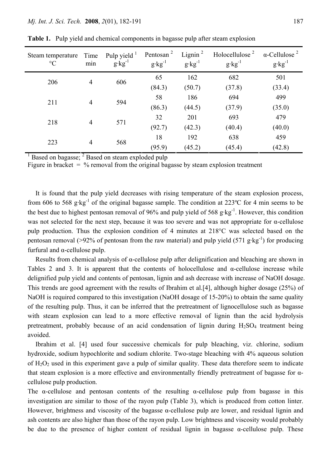| Steam temperature<br>$\rm ^{\circ}C$ | Time<br>min    | Pulp yield $1$<br>$g$ ·kg <sup>-1</sup> | Pentosan <sup>2</sup><br>$g$ · $kg^{-1}$ | Lignin $^2$<br>$g$ · $kg^{-1}$ | Holocellulose <sup>2</sup><br>$g$ ·kg <sup>-1</sup> | $\alpha$ -Cellulose <sup>2</sup><br>$g$ · $kg^{-1}$ |
|--------------------------------------|----------------|-----------------------------------------|------------------------------------------|--------------------------------|-----------------------------------------------------|-----------------------------------------------------|
| 206                                  | $\overline{4}$ | 606                                     | 65                                       | 162                            | 682                                                 | 501                                                 |
|                                      |                |                                         | (84.3)                                   | (50.7)                         | (37.8)                                              | (33.4)                                              |
| 211                                  | $\overline{4}$ | 594                                     | 58                                       | 186                            | 694                                                 | 499                                                 |
|                                      |                |                                         | (86.3)                                   | (44.5)                         | (37.9)                                              | (35.0)                                              |
| 218                                  | $\overline{4}$ | 571                                     | 32                                       | 201                            | 693                                                 | 479                                                 |
|                                      |                |                                         | (92.7)                                   | (42.3)                         | (40.4)                                              | (40.0)                                              |
| 223                                  | $\overline{4}$ | 568                                     | 18                                       | 192                            | 638                                                 | 459                                                 |
|                                      |                |                                         | (95.9)                                   | (45.2)                         | (45.4)                                              | (42.8)                                              |

**Table 1.** Pulp yield and chemical components in bagasse pulp after steam explosion

 $<sup>1</sup>$  Based on bagasse;  $<sup>2</sup>$  Based on steam exploded pulp</sup></sup>

Figure in bracket  $=$  % removal from the original bagasse by steam explosion treatment

It is found that the pulp yield decreases with rising temperature of the steam explosion process, from 606 to 568 g·kg-1 of the original bagasse sample. The condition at 223ºC for 4 min seems to be the best due to highest pentosan removal of 96% and pulp yield of 568 g·kg<sup>-1</sup>. However, this condition was not selected for the next step, because it was too severe and was not appropriate for α-cellulose pulp production. Thus the explosion condition of 4 minutes at 218°C was selected based on the pentosan removal (>92% of pentosan from the raw material) and pulp yield (571 g·kg<sup>-1</sup>) for producing furfural and α-cellulose pulp.

Results from chemical analysis of α-cellulose pulp after delignification and bleaching are shown in Tables 2 and 3. It is apparent that the contents of holocellulose and α-cellulose increase while delignified pulp yield and contents of pentosan, lignin and ash decrease with increase of NaOH dosage. This trends are good agreement with the results of Ibrahim et al.[4], although higher dosage (25%) of NaOH is required compared to this investigation (NaOH dosage of 15-20%) to obtain the same quality of the resulting pulp. Thus, it can be inferred that the pretreatment of lignocellulose such as bagasse with steam explosion can lead to a more effective removal of lignin than the acid hydrolysis pretreatment, probably because of an acid condensation of lignin during  $H_2SO_4$  treatment being avoided.

Ibrahim et al. [4] used four successive chemicals for pulp bleaching, viz. chlorine, sodium hydroxide, sodium hypochlorite and sodium chlorite. Two-stage bleaching with 4% aqueous solution of  $H_2O_2$  used in this experiment gave a pulp of similar quality. These data therefore seem to indicate that steam explosion is a more effective and environmentally friendly pretreatment of bagasse for αcellulose pulp production.

The  $\alpha$ -cellulose and pentosan contents of the resulting  $\alpha$ -cellulose pulp from bagasse in this investigation are similar to those of the rayon pulp (Table 3), which is produced from cotton linter. However, brightness and viscosity of the bagasse α-cellulose pulp are lower, and residual lignin and ash contents are also higher than those of the rayon pulp. Low brightness and viscosity would probably be due to the presence of higher content of residual lignin in bagasse  $\alpha$ -cellulose pulp. These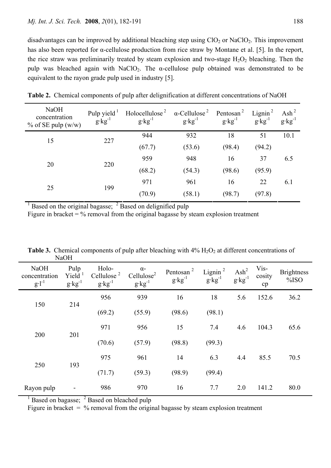disadvantages can be improved by additional bleaching step using  $ClO<sub>2</sub>$  or NaClO<sub>2</sub>. This improvement has also been reported for α-cellulose production from rice straw by Montane et al. [5]. In the report, the rice straw was preliminarily treated by steam explosion and two-stage  $H_2O_2$  bleaching. Then the pulp was bleached again with NaClO<sub>2</sub>. The  $\alpha$ -cellulose pulp obtained was demonstrated to be equivalent to the rayon grade pulp used in industry [5].

| Pulp yield $\frac{1}{2}$<br>$g$ ·kg <sup>-1</sup> | Holocellulose <sup>2</sup><br>$g$ ·kg <sup>-1</sup> | $g$ ·kg <sup>-1</sup> | Pentosan <sup>2</sup><br>$g$ ·kg <sup>-1</sup> | Lignin $^2$<br>$g$ ·kg <sup>-1</sup> | Ash <sup>2</sup><br>$g$ · $kg^{-1}$ |
|---------------------------------------------------|-----------------------------------------------------|-----------------------|------------------------------------------------|--------------------------------------|-------------------------------------|
|                                                   | 944                                                 | 932                   | 18                                             | 51                                   | 10.1                                |
|                                                   | (67.7)                                              | (53.6)                | (98.4)                                         | (94.2)                               |                                     |
| 220                                               | 959                                                 | 948                   | 16                                             | 37                                   | 6.5                                 |
|                                                   | (68.2)                                              | (54.3)                | (98.6)                                         | (95.9)                               |                                     |
|                                                   | 971                                                 | 961                   | 16                                             | 22                                   | 6.1                                 |
|                                                   | (70.9)                                              | (58.1)                | (98.7)                                         | (97.8)                               |                                     |
|                                                   | 227<br>199                                          |                       |                                                | $\alpha$ -Cellulose <sup>2</sup>     |                                     |

**Table 2.** Chemical components of pulp after delignification at different concentrations of NaOH

<sup>1</sup> Based on the original bagasse;  $2$  Based on delignified pulp

Figure in bracket  $=$  % removal from the original bagasse by steam explosion treatment

|                                            | 110011                                                |                                                    |                                                               |                                            |                                      |                                   |                      |                           |
|--------------------------------------------|-------------------------------------------------------|----------------------------------------------------|---------------------------------------------------------------|--------------------------------------------|--------------------------------------|-----------------------------------|----------------------|---------------------------|
| <b>NaOH</b><br>concentration<br>$g·l^{-1}$ | Pulp<br>$Yield$ <sup>1</sup><br>$g$ ·kg <sup>-1</sup> | Holo-<br>Cellulose <sup>2</sup><br>$g$ · $kg^{-1}$ | $\alpha$ -<br>Cellulose <sup>2</sup><br>$g$ ·kg <sup>-1</sup> | Pentosan <sup>2</sup><br>$g \cdot kg^{-1}$ | Lignin <sup>2</sup><br>$g$ $kg^{-1}$ | $\text{Ash}^2$<br>$g$ · $kg^{-1}$ | Vis-<br>cosity<br>cp | <b>Brightness</b><br>%ISO |
| 150<br>214                                 | 956                                                   | 939                                                | 16                                                            | 18                                         | 5.6                                  | 152.6                             | 36.2                 |                           |
|                                            |                                                       | (69.2)                                             | (55.9)                                                        | (98.6)                                     | (98.1)                               |                                   |                      |                           |
|                                            |                                                       | 971                                                | 956                                                           | 15                                         | 7.4                                  | 4.6                               | 104.3                | 65.6                      |
| 200                                        | 201                                                   | (70.6)                                             | (57.9)                                                        | (98.8)                                     | (99.3)                               |                                   |                      |                           |
| 250                                        |                                                       | 975                                                | 961                                                           | 14                                         | 6.3                                  | 4.4                               | 85.5                 | 70.5                      |
|                                            | 193                                                   | (71.7)                                             | (59.3)                                                        | (98.9)                                     | (99.4)                               |                                   |                      |                           |
| Rayon pulp                                 |                                                       | 986                                                | 970                                                           | 16                                         | 7.7                                  | 2.0                               | 141.2                | 80.0                      |

**Table 3.** Chemical components of pulp after bleaching with  $4\%$   $H_2O_2$  at different concentrations of NaOH

1 Based on bagasse; <sup>2</sup> Based on bleached pulp

Figure in bracket  $=$  % removal from the original bagasse by steam explosion treatment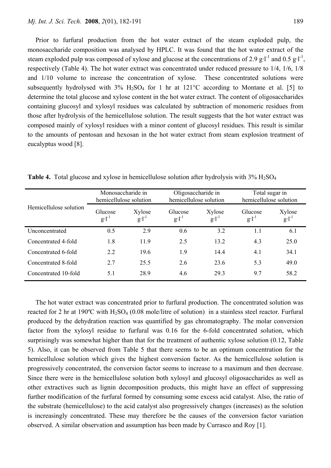Prior to furfural production from the hot water extract of the steam exploded pulp, the monosaccharide composition was analysed by HPLC. It was found that the hot water extract of the steam exploded pulp was composed of xylose and glucose at the concentrations of 2.9 g·l<sup>-1</sup> and 0.5 g·l<sup>-1</sup>, respectively (Table 4). The hot water extract was concentrated under reduced pressure to 1/4, 1/6, 1/8 and 1/10 volume to increase the concentration of xylose. These concentrated solutions were subsequently hydrolysed with  $3\%$  H<sub>2</sub>SO<sub>4</sub> for 1 hr at  $121\degree$ C according to Montane et al. [5] to determine the total glucose and xylose content in the hot water extract. The content of oligosaccharides containing glucosyl and xylosyl residues was calculated by subtraction of monomeric residues from those after hydrolysis of the hemicellulose solution. The result suggests that the hot water extract was composed mainly of xylosyl residues with a minor content of glucosyl residues. This result is similar to the amounts of pentosan and hexosan in the hot water extract from steam explosion treatment of eucalyptus wood [8].

| Hemicellulose solution | Monosaccharide in<br>hemicellulose solution |                      | Oligosaccharide in<br>hemicellulose solution |                | Total sugar in<br>hemicellulose solution |                      |
|------------------------|---------------------------------------------|----------------------|----------------------------------------------|----------------|------------------------------------------|----------------------|
|                        | Glucose<br>$g·l^{-1}$                       | Xylose<br>$g·l^{-1}$ | Glucose<br>$g·l^{-1}$                        | Xylose<br>g·l' | Glucose<br>$g·l^{-1}$                    | Xylose<br>$g·l^{-1}$ |
| Unconcentrated         | 0.5                                         | 2.9                  | 0.6                                          | 3.2            | 1.1                                      | 6.1                  |
| Concentrated 4-fold    | 1.8                                         | 11.9                 | 2.5                                          | 13.2           | 4.3                                      | 25.0                 |
| Concentrated 6-fold    | 2.2                                         | 19.6                 | 1.9                                          | 14.4           | 4.1                                      | 34.1                 |
| Concentrated 8-fold    | 2.7                                         | 25.5                 | 2.6                                          | 23.6           | 5.3                                      | 49.0                 |
| Concentrated 10-fold   | 51                                          | 28.9                 | 4.6                                          | 29.3           | 9.7                                      | 58.2                 |

**Table 4.** Total glucose and xylose in hemicellulose solution after hydrolysis with  $3\%$  H<sub>2</sub>SO<sub>4</sub>

The hot water extract was concentrated prior to furfural production. The concentrated solution was reacted for 2 hr at 190°C with  $H_2SO_4$  (0.08 mole/litre of solution) in a stainless steel reactor. Furfural produced by the dehydration reaction was quantified by gas chromatography. The molar conversion factor from the xylosyl residue to furfural was 0.16 for the 6-fold concentrated solution, which surprisingly was somewhat higher than that for the treatment of authentic xylose solution (0.12, Table 5). Also, it can be observed from Table 5 that there seems to be an optimum concentration for the hemicellulose solution which gives the highest conversion factor. As the hemicellulose solution is progressively concentrated, the conversion factor seems to increase to a maximum and then decrease. Since there were in the hemicellulose solution both xylosyl and glucosyl oligosaccharides as well as other extractives such as lignin decomposition products, this might have an effect of suppressing further modification of the furfural formed by consuming some excess acid catalyst. Also, the ratio of the substrate (hemicellulose) to the acid catalyst also progressively changes (increases) as the solution is increasingly concentrated. These may therefore be the causes of the conversion factor variation observed. A similar observation and assumption has been made by Currasco and Roy [1].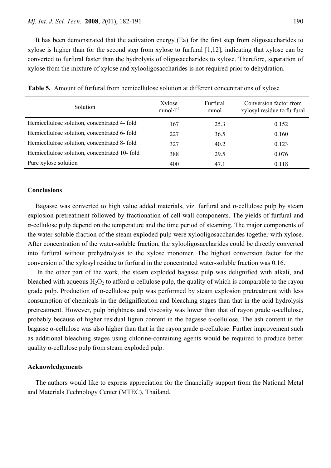It has been demonstrated that the activation energy (Ea) for the first step from oligosaccharides to xylose is higher than for the second step from xylose to furfural [1,12], indicating that xylose can be converted to furfural faster than the hydrolysis of oligosaccharides to xylose. Therefore, separation of xylose from the mixture of xylose and xylooligosaccharides is not required prior to dehydration.

| Solution                                      | Xylose<br>$mmol·l-1$ | Furfural<br>mmol | Conversion factor from<br>xylosyl residue to furfural |
|-----------------------------------------------|----------------------|------------------|-------------------------------------------------------|
| Hemicellulose solution, concentrated 4- fold  | 167                  | 25.3             | 0.152                                                 |
| Hemicellulose solution, concentrated 6-fold   | 227                  | 36.5             | 0.160                                                 |
| Hemicellulose solution, concentrated 8- fold  | 327                  | 40.2             | 0.123                                                 |
| Hemicellulose solution, concentrated 10- fold | 388                  | 29.5             | 0.076                                                 |
| Pure xylose solution                          | 400                  | 47.1             | 0.118                                                 |

**Table 5.** Amount of furfural from hemicellulose solution at different concentrations of xylose

#### **Conclusions**

Bagasse was converted to high value added materials, viz. furfural and  $\alpha$ -cellulose pulp by steam explosion pretreatment followed by fractionation of cell wall components. The yields of furfural and α-cellulose pulp depend on the temperature and the time period of steaming. The major components of the water-soluble fraction of the steam exploded pulp were xylooligosaccharides together with xylose. After concentration of the water-soluble fraction, the xylooligosaccharides could be directly converted into furfural without prehydrolysis to the xylose monomer. The highest conversion factor for the conversion of the xylosyl residue to furfural in the concentrated water-soluble fraction was 0.16.

 In the other part of the work, the steam exploded bagasse pulp was delignified with alkali, and bleached with aqueous  $H_2O_2$  to afford  $\alpha$ -cellulose pulp, the quality of which is comparable to the rayon grade pulp. Production of  $\alpha$ -cellulose pulp was performed by steam explosion pretreatment with less consumption of chemicals in the delignification and bleaching stages than that in the acid hydrolysis pretreatment. However, pulp brightness and viscosity was lower than that of rayon grade  $\alpha$ -cellulose, probably because of higher residual lignin content in the bagasse  $\alpha$ -cellulose. The ash content in the bagasse  $\alpha$ -cellulose was also higher than that in the rayon grade  $\alpha$ -cellulose. Further improvement such as additional bleaching stages using chlorine-containing agents would be required to produce better quality  $\alpha$ -cellulose pulp from steam exploded pulp.

#### **Acknowledgements**

The authors would like to express appreciation for the financially support from the National Metal and Materials Technology Center (MTEC), Thailand.